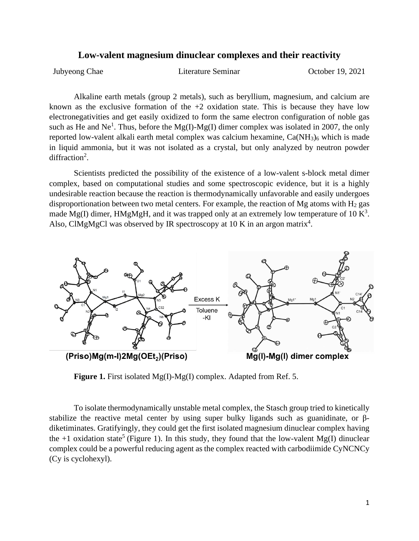## **Low-valent magnesium dinuclear complexes and their reactivity**

Jubyeong Chae Literature Seminar October 19, 2021

Alkaline earth metals (group 2 metals), such as beryllium, magnesium, and calcium are known as the exclusive formation of the  $+2$  oxidation state. This is because they have low electronegativities and get easily oxidized to form the same electron configuration of noble gas such as He and Ne<sup>1</sup>. Thus, before the Mg(I)-Mg(I) dimer complex was isolated in 2007, the only reported low-valent alkali earth metal complex was calcium hexamine,  $Ca(NH<sub>3</sub>)<sub>6</sub>$  which is made in liquid ammonia, but it was not isolated as a crystal, but only analyzed by neutron powder diffraction<sup>2</sup>.

Scientists predicted the possibility of the existence of a low-valent s-block metal dimer complex, based on computational studies and some spectroscopic evidence, but it is a highly undesirable reaction because the reaction is thermodynamically unfavorable and easily undergoes disproportionation between two metal centers. For example, the reaction of Mg atoms with  $H_2$  gas made Mg(I) dimer, HMgMgH, and it was trapped only at an extremely low temperature of 10  $\mathrm{K}^3$ . Also, ClMgMgCl was observed by IR spectroscopy at  $10$  K in an argon matrix<sup>4</sup>.



**Figure 1.** First isolated Mg(I)-Mg(I) complex. Adapted from Ref. 5.

To isolate thermodynamically unstable metal complex, the Stasch group tried to kinetically stabilize the reactive metal center by using super bulky ligands such as guanidinate, or βdiketiminates. Gratifyingly, they could get the first isolated magnesium dinuclear complex having the +1 oxidation state<sup>5</sup> (Figure 1). In this study, they found that the low-valent Mg(I) dinuclear complex could be a powerful reducing agent as the complex reacted with carbodiimide CyNCNCy (Cy is cyclohexyl).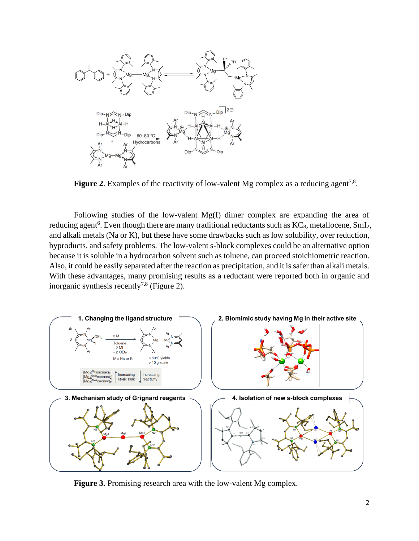

**Figure 2.** Examples of the reactivity of low-valent Mg complex as a reducing agent<sup>7,8</sup>.

Following studies of the low-valent Mg(I) dimer complex are expanding the area of reducing agent<sup>6</sup>. Even though there are many traditional reductants such as  $KC_8$ , metallocene, SmI<sub>2</sub>, and alkali metals (Na or K), but these have some drawbacks such as low solubility, over reduction, byproducts, and safety problems. The low-valent s-block complexes could be an alternative option because it is soluble in a hydrocarbon solvent such as toluene, can proceed stoichiometric reaction. Also, it could be easily separated after the reaction as precipitation, and it is safer than alkali metals. With these advantages, many promising results as a reductant were reported both in organic and inorganic synthesis recently<sup>7,8</sup> (Figure 2).



Figure 3. Promising research area with the low-valent Mg complex.